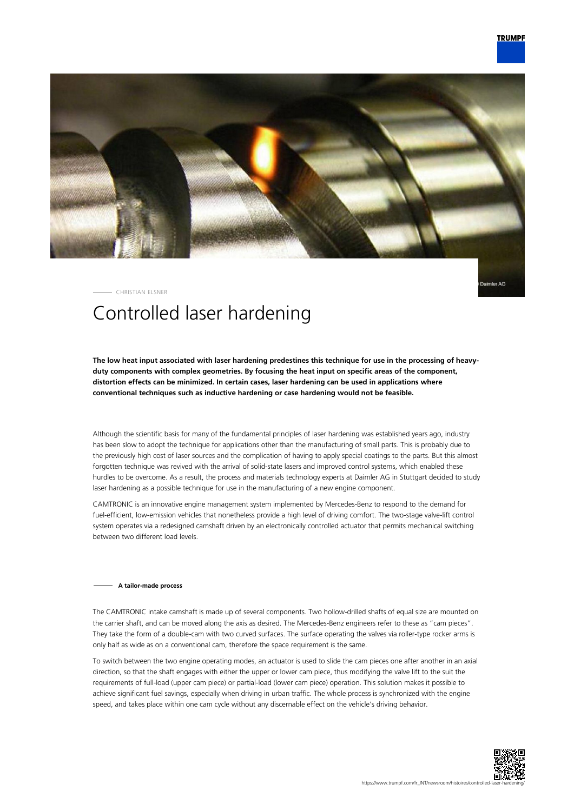

mler AG

#### CHRISTIAN ELSNER

# Controlled laser hardening

**The low heat input associated with laser hardening predestines this technique for use in the processing of heavyduty components with complex geometries. By focusing the heat input on specific areas of the component, distortion effects can be minimized. In certain cases, laser hardening can be used in applications where conventional techniques such as inductive hardening or case hardening would not be feasible.**

Although the scientific basis for many of the fundamental principles of laser hardening was established years ago, industry has been slow to adopt the technique for applications other than the manufacturing of small parts. This is probably due to the previously high cost of laser sources and the complication of having to apply special coatings to the parts. But this almost forgotten technique was revived with the arrival of solid-state lasers and improved control systems, which enabled these hurdles to be overcome. As a result, the process and materials technology experts at Daimler AG in Stuttgart decided to study laser hardening as a possible technique for use in the manufacturing of a new engine component.

CAMTRONIC is an innovative engine management system implemented by Mercedes-Benz to respond to the demand for fuel-efficient, low-emission vehicles that nonetheless provide a high level of driving comfort. The two-stage valve-lift control system operates via a redesigned camshaft driven by an electronically controlled actuator that permits mechanical switching between two different load levels.

#### **A tailor-made process**

The CAMTRONIC intake camshaft is made up of several components. Two hollow-drilled shafts of equal size are mounted on the carrier shaft, and can be moved along the axis as desired. The Mercedes-Benz engineers refer to these as "cam pieces". They take the form of a double-cam with two curved surfaces. The surface operating the valves via roller-type rocker arms is only half as wide as on a conventional cam, therefore the space requirement is the same.

To switch between the two engine operating modes, an actuator is used to slide the cam pieces one after another in an axial direction, so that the shaft engages with either the upper or lower cam piece, thus modifying the valve lift to the suit the requirements of full-load (upper cam piece) or partial-load (lower cam piece) operation. This solution makes it possible to achieve significant fuel savings, especially when driving in urban traffic. The whole process is synchronized with the engine speed, and takes place within one cam cycle without any discernable effect on the vehicle's driving behavior.

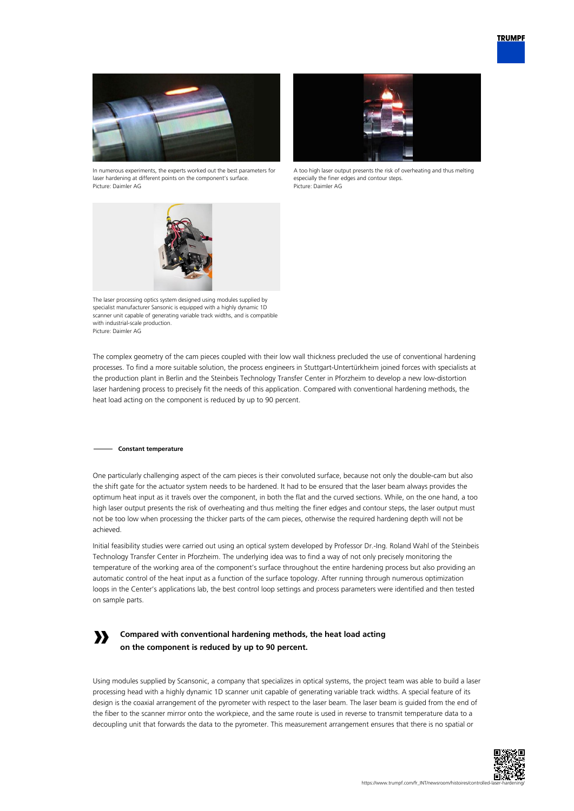



In numerous experiments, the experts worked out the best parameters for laser hardening at different points on the component's surface. Picture: Daimler AG



A too high laser output presents the risk of overheating and thus melting especially the finer edges and contour steps. Picture: Daimler AG



The laser processing optics system designed using modules supplied by specialist manufacturer Sansonic is equipped with a highly dynamic 1D scanner unit capable of generating variable track widths, and is compatible with industrial-scale production. Picture: Daimler AG

The complex geometry of the cam pieces coupled with their low wall thickness precluded the use of conventional hardening processes. To find a more suitable solution, the process engineers in Stuttgart-Untertürkheim joined forces with specialists at the production plant in Berlin and the Steinbeis Technology Transfer Center in Pforzheim to develop a new low-distortion laser hardening process to precisely fit the needs of this application. Compared with conventional hardening methods, the heat load acting on the component is reduced by up to 90 percent.

### **Constant temperature**

**»**

One particularly challenging aspect of the cam pieces is their convoluted surface, because not only the double-cam but also the shift gate for the actuator system needs to be hardened. It had to be ensured that the laser beam always provides the optimum heat input as it travels over the component, in both the flat and the curved sections. While, on the one hand, a too high laser output presents the risk of overheating and thus melting the finer edges and contour steps, the laser output must not be too low when processing the thicker parts of the cam pieces, otherwise the required hardening depth will not be achieved.

Initial feasibility studies were carried out using an optical system developed by Professor Dr.-Ing. Roland Wahl of the Steinbeis Technology Transfer Center in Pforzheim. The underlying idea was to find a way of not only precisely monitoring the temperature of the working area of the component's surface throughout the entire hardening process but also providing an automatic control of the heat input as a function of the surface topology. After running through numerous optimization loops in the Center's applications lab, the best control loop settings and process parameters were identified and then tested on sample parts.

## **Compared with conventional hardening methods, the heat load acting on the component is reduced by up to 90 percent.**

Using modules supplied by Scansonic, a company that specializes in optical systems, the project team was able to build a laser processing head with a highly dynamic 1D scanner unit capable of generating variable track widths. A special feature of its design is the coaxial arrangement of the pyrometer with respect to the laser beam. The laser beam is guided from the end of the fiber to the scanner mirror onto the workpiece, and the same route is used in reverse to transmit temperature data to a decoupling unit that forwards the data to the pyrometer. This measurement arrangement ensures that there is no spatial or

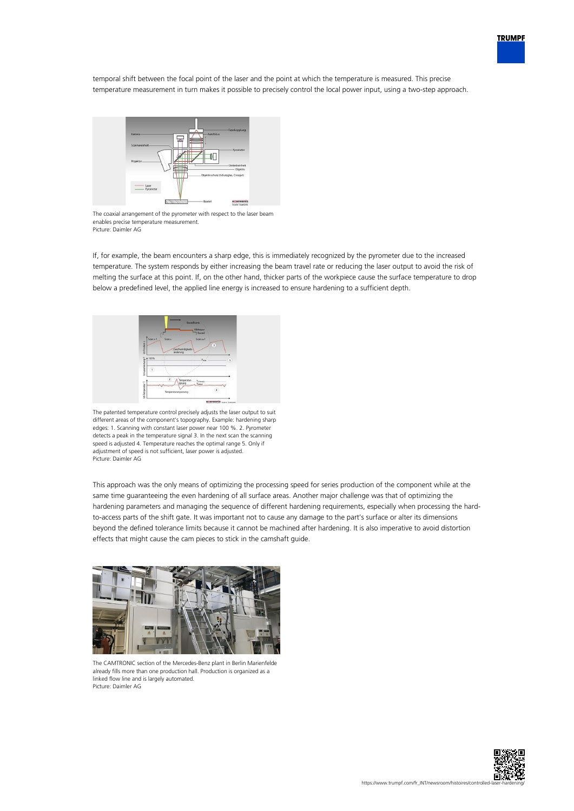

temporal shift between the focal point of the laser and the point at which the temperature is measured. This precise temperature measurement in turn makes it possible to precisely control the local power input, using a two-step approach.



The coaxial arrangement of the pyrometer with respect to the laser beam enables precise temperature measurement. Picture: Daimler AG

If, for example, the beam encounters a sharp edge, this is immediately recognized by the pyrometer due to the increased temperature. The system responds by either increasing the beam travel rate or reducing the laser output to avoid the risk of melting the surface at this point. If, on the other hand, thicker parts of the workpiece cause the surface temperature to drop below a predefined level, the applied line energy is increased to ensure hardening to a sufficient depth.



The patented temperature control precisely adjusts the laser output to suit different areas of the component's topography. Example: hardening sharp edges: 1. Scanning with constant laser power near 100 %. 2. Pyrometer detects a peak in the temperature signal 3. In the next scan the scanning speed is adjusted 4. Temperature reaches the optimal range 5. Only if adjustment of speed is not sufficient, laser power is adjusted. Picture: Daimler AG

This approach was the only means of optimizing the processing speed for series production of the component while at the same time guaranteeing the even hardening of all surface areas. Another major challenge was that of optimizing the hardening parameters and managing the sequence of different hardening requirements, especially when processing the hardto-access parts of the shift gate. It was important not to cause any damage to the part's surface or alter its dimensions beyond the defined tolerance limits because it cannot be machined after hardening. It is also imperative to avoid distortion effects that might cause the cam pieces to stick in the camshaft guide.



The CAMTRONIC section of the Mercedes-Benz plant in Berlin Marienfelde already fills more than one production hall. Production is organized as a linked flow line and is largely automated. Picture: Daimler AG